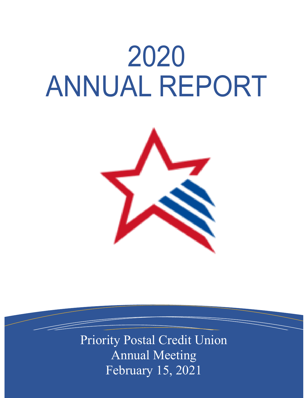# 2020 ANNUAL REPORT



Priority Postal Credit Union Annual Meeting February 15, 2021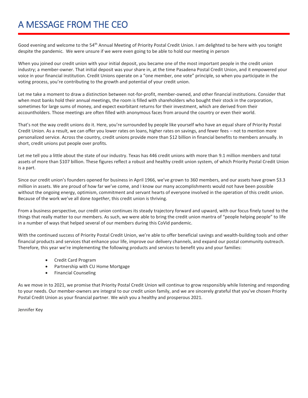# A MESSAGE FROM THE CEO

Good evening and welcome to the 54th Annual Meeting of Priority Postal Credit Union. I am delighted to be here with you tonight despite the pandemic. We were unsure if we were even going to be able to hold our meeting in person

When you joined our credit union with your initial deposit, you became one of the most important people in the credit union industry; a member-owner. That initial deposit was your share in, at the time Pasadena Postal Credit Union, and it empowered your voice in your financial institution. Credit Unions operate on a "one member, one vote" principle, so when you participate in the voting process, you're contributing to the growth and potential of your credit union.

Let me take a moment to draw a distinction between not-for-profit, member-owned, and other financial institutions. Consider that when most banks hold their annual meetings, the room is filled with shareholders who bought their stock in the corporation, sometimes for large sums of money, and expect exorbitant returns for their investment, which are derived from their accountholders. Those meetings are often filled with anonymous faces from around the country or even their world.

That's not the way credit unions do it. Here, you're surrounded by people like yourself who have an equal share of Priority Postal Credit Union. As a result, we can offer you lower rates on loans, higher rates on savings, and fewer fees – not to mention more personalized service. Across the country, credit unions provide more than \$12 billion in financial benefits to members annually. In short, credit unions put people over profits.

Let me tell you a little about the state of our industry. Texas has 446 credit unions with more than 9.1 million members and total assets of more than \$107 billion. These figures reflect a robust and healthy credit union system, of which Priority Postal Credit Union is a part.

Since our credit union's founders opened for business in April 1966, we've grown to 360 members, and our assets have grown \$3.3 million in assets. We are proud of how far we've come, and I know our many accomplishments would not have been possible without the ongoing energy, optimism, commitment and servant hearts of everyone involved in the operation of this credit union. Because of the work we've all done *together*, this credit union is thriving.

From a business perspective, our credit union continues its steady trajectory forward and upward, with our focus finely tuned to the things that really matter to our members. As such, we were able to bring the credit union mantra of "people helping people" to life in a number of ways that helped several of our members during this CoVid pandemic.

With the continued success of Priority Postal Credit Union, we're able to offer beneficial savings and wealth-building tools and other financial products and services that enhance your life, improve our delivery channels, and expand our postal community outreach. Therefore, this year we're implementing the following products and services to benefit you and your families:

- Credit Card Program
- Partnership with CU Home Mortgage
- Financial Counseling

As we move in to 2021, we promise that Priority Postal Credit Union will continue to grow responsibly while listening and responding to your needs. Our member-owners are integral to our credit union family, and we are sincerely grateful that you've chosen Priority Postal Credit Union as your financial partner. We wish you a healthy and prosperous 2021.

Jennifer Key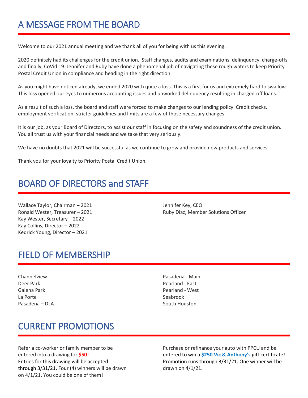## A MESSAGE FROM THE BOARD

Welcome to our 2021 annual meeting and we thank all of you for being with us this evening.

2020 definitely had its challenges for the credit union. Staff changes, audits and examinations, delinquency, charge-offs and finally, CoVid 19. Jennifer and Ruby have done a phenomenal job of navigating these rough waters to keep Priority Postal Credit Union in compliance and heading in the right direction.

As you might have noticed already, we ended 2020 with quite a loss. This is a first for us and extremely hard to swallow. This loss opened our eyes to numerous accounting issues and unworked delinquency resulting in charged-off loans.

As a result of such a loss, the board and staff were forced to make changes to our lending policy. Credit checks, employment verification, stricter guidelines and limits are a few of those necessary changes.

It is our job, as your Board of Directors, to assist our staff in focusing on the safety and soundness of the credit union. You all trust us with your financial needs and we take that very seriously.

We have no doubts that 2021 will be successful as we continue to grow and provide new products and services.

Thank you for your loyalty to Priority Postal Credit Union.

### BOARD OF DIRECTORS and STAFF

Wallace Taylor, Chairman – 2021 **Valuation Contract Contract Contract Contract Contract Contract Contract Contract Contract Contract Contract Contract Contract Contract Contract Contract Contract Contract Contract Contract** Kay Wester, Secretary – 2022 Kay Collins, Director – 2022 Kedrick Young, Director – 2021

Ronald Wester, Treasurer – 2021 **Ruby Diaz, Member Solutions Officer** Ruby Diaz, Member Solutions Officer

#### FIELD OF MEMBERSHIP

- Channelview Pasadena Main Deer Park Pearland - East La Porte **Seabrook** Pasadena – DLA South Houston
- Galena Park Pearland West

## CURRENT PROMOTIONS

Refer a co-worker or family member to be Purchase or refinance your auto with PPCU and be through  $3/31/21$ . Four (4) winners will be drawn drawn drawn on  $4/1/21$ . on 4/1/21. You could be one of them!

entered into a drawing for **\$50!** entered to win a **\$250 Vic & Anthony's** gift certificate! Entries for this drawing will be accepted **Promotion runs through 3/31/21.** One winner will be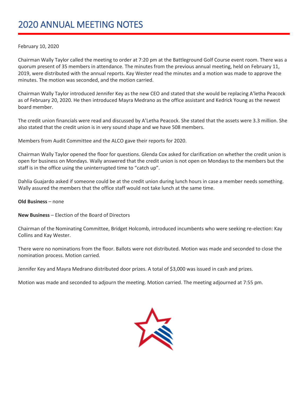## 2020 ANNUAL MEETING NOTES

#### February 10, 2020

Chairman Wally Taylor called the meeting to order at 7:20 pm at the Battleground Golf Course event room. There was a quorum present of 35 members in attendance. The minutes from the previous annual meeting, held on February 11, 2019, were distributed with the annual reports. Kay Wester read the minutes and a motion was made to approve the minutes. The motion was seconded, and the motion carried.

Chairman Wally Taylor introduced Jennifer Key as the new CEO and stated that she would be replacing A'letha Peacock as of February 20, 2020. He then introduced Mayra Medrano as the office assistant and Kedrick Young as the newest board member.

The credit union financials were read and discussed by A'Letha Peacock. She stated that the assets were 3.3 million. She also stated that the credit union is in very sound shape and we have 508 members.

Members from Audit Committee and the ALCO gave their reports for 2020.

Chairman Wally Taylor opened the floor for questions. Glenda Cox asked for clarification on whether the credit union is open for business on Mondays. Wally answered that the credit union is not open on Mondays to the members but the staff is in the office using the uninterrupted time to "catch up".

Dahlia Guajardo asked if someone could be at the credit union during lunch hours in case a member needs something. Wally assured the members that the office staff would not take lunch at the same time.

#### **Old Business** – none

#### **New Business** – Election of the Board of Directors

Chairman of the Nominating Committee, Bridget Holcomb, introduced incumbents who were seeking re-election: Kay Collins and Kay Wester.

There were no nominations from the floor. Ballots were not distributed. Motion was made and seconded to close the nomination process. Motion carried.

Jennifer Key and Mayra Medrano distributed door prizes. A total of \$3,000 was issued in cash and prizes.

Motion was made and seconded to adjourn the meeting. Motion carried. The meeting adjourned at 7:55 pm.